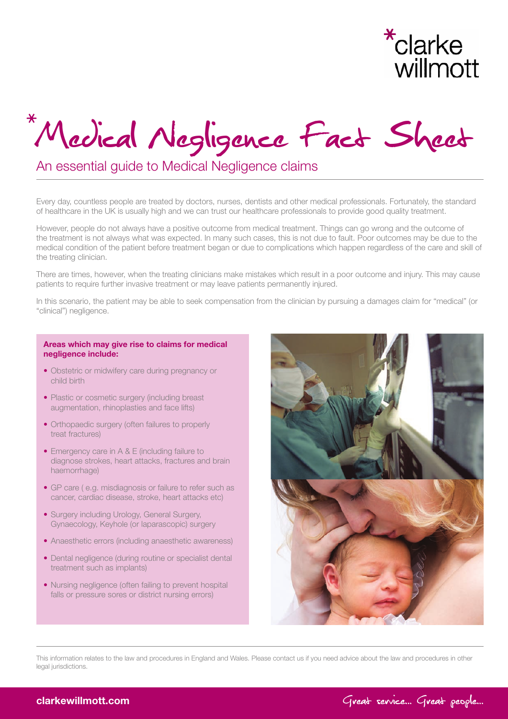

# Medical Negligence Fact Sheet

### An essential guide to Medical Negligence claims

Every day, countless people are treated by doctors, nurses, dentists and other medical professionals. Fortunately, the standard of healthcare in the UK is usually high and we can trust our healthcare professionals to provide good quality treatment.

However, people do not always have a positive outcome from medical treatment. Things can go wrong and the outcome of the treatment is not always what was expected. In many such cases, this is not due to fault. Poor outcomes may be due to the medical condition of the patient before treatment began or due to complications which happen regardless of the care and skill of the treating clinician.

There are times, however, when the treating clinicians make mistakes which result in a poor outcome and injury. This may cause patients to require further invasive treatment or may leave patients permanently injured.

In this scenario, the patient may be able to seek compensation from the clinician by pursuing a damages claim for "medical" (or "clinical") negligence.

#### Areas which may give rise to claims for medical negligence include:

- Obstetric or midwifery care during pregnancy or child birth
- Plastic or cosmetic surgery (including breast augmentation, rhinoplasties and face lifts)
- Orthopaedic surgery (often failures to properly treat fractures)
- Emergency care in A & E (including failure to diagnose strokes, heart attacks, fractures and brain haemorrhage)
- GP care ( e.g. misdiagnosis or failure to refer such as cancer, cardiac disease, stroke, heart attacks etc)
- Surgery including Urology, General Surgery, Gynaecology, Keyhole (or laparascopic) surgery
- Anaesthetic errors (including anaesthetic awareness)
- Dental negligence (during routine or specialist dental treatment such as implants)
- Nursing negligence (often failing to prevent hospital falls or pressure sores or district nursing errors)



This information relates to the law and procedures in England and Wales. Please contact us if you need advice about the law and procedures in other legal jurisdictions.

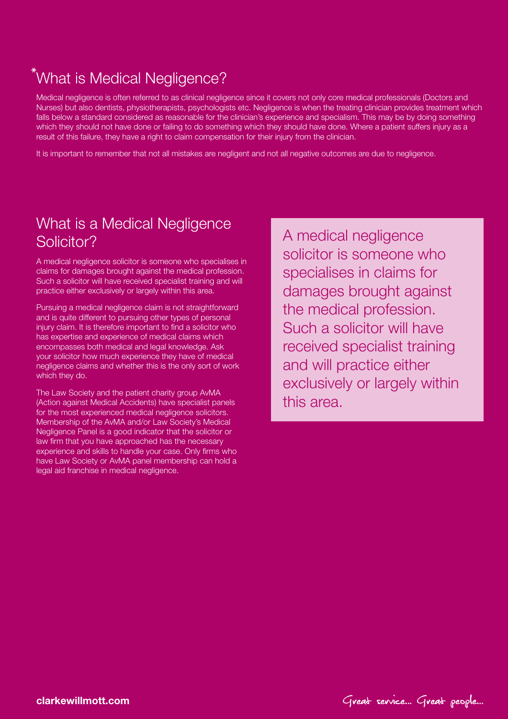# What is Medical Negligence?

Medical negligence is often referred to as clinical negligence since it covers not only core medical professionals (Doctors and Nurses) but also dentists, physiotherapists, psychologists etc. Negligence is when the treating clinician provides treatment which falls below a standard considered as reasonable for the clinician's experience and specialism. This may be by doing something which they should not have done or failing to do something which they should have done. Where a patient suffers injury as a result of this failure, they have a right to claim compensation for their injury from the clinician.

It is important to remember that not all mistakes are negligent and not all negative outcomes are due to negligence.

# What is a Medical Negligence Solicitor?

A medical negligence solicitor is someone who specialises in claims for damages brought against the medical profession. Such a solicitor will have received specialist training and will practice either exclusively or largely within this area.

Pursuing a medical negligence claim is not straightforward and is quite different to pursuing other types of personal injury claim. It is therefore important to find a solicitor who has expertise and experience of medical claims which encompasses both medical and legal knowledge. Ask your solicitor how much experience they have of medical negligence claims and whether this is the only sort of work which they do.

The Law Society and the patient charity group AvMA (Action against Medical Accidents) have specialist panels for the most experienced medical negligence solicitors. Membership of the AvMA and/or Law Society's Medical Negligence Panel is a good indicator that the solicitor or law firm that you have approached has the necessary experience and skills to handle your case. Only firms who have Law Society or AvMA panel membership can hold a legal aid franchise in medical negligence.

A medical negligence solicitor is someone who specialises in claims for damages brought against the medical profession. Such a solicitor will have received specialist training and will practice either exclusively or largely within this area.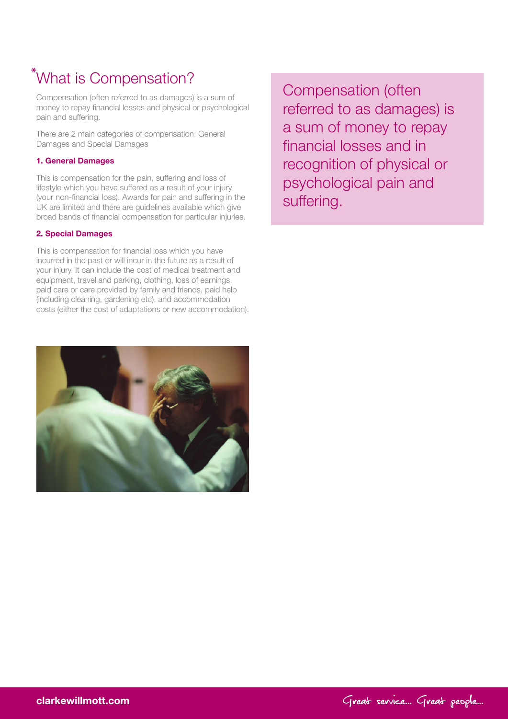# What is Compensation?

Compensation (often referred to as damages) is a sum of money to repay financial losses and physical or psychological pain and suffering.

There are 2 main categories of compensation: General Damages and Special Damages

#### 1. General Damages

This is compensation for the pain, suffering and loss of lifestyle which you have suffered as a result of your injury (your non-financial loss). Awards for pain and suffering in the UK are limited and there are guidelines available which give broad bands of financial compensation for particular injuries.

#### 2. Special Damages

This is compensation for financial loss which you have incurred in the past or will incur in the future as a result of your injury. It can include the cost of medical treatment and equipment, travel and parking, clothing, loss of earnings, paid care or care provided by family and friends, paid help (including cleaning, gardening etc), and accommodation costs (either the cost of adaptations or new accommodation).



Compensation (often referred to as damages) is a sum of money to repay financial losses and in recognition of physical or psychological pain and suffering.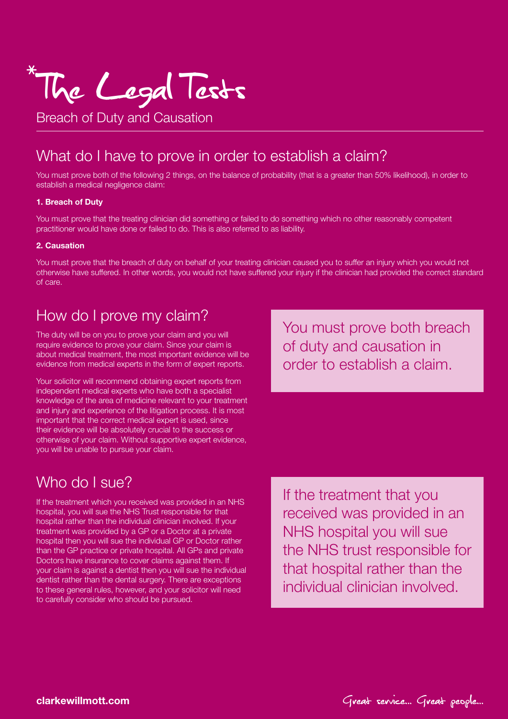

Breach of Duty and Causation

### What do I have to prove in order to establish a claim?

You must prove both of the following 2 things, on the balance of probability (that is a greater than 50% likelihood), in order to establish a medical negligence claim:

#### 1. Breach of Duty

You must prove that the treating clinician did something or failed to do something which no other reasonably competent practitioner would have done or failed to do. This is also referred to as liability.

#### 2. Causation

You must prove that the breach of duty on behalf of your treating clinician caused you to suffer an injury which you would not otherwise have suffered. In other words, you would not have suffered your injury if the clinician had provided the correct standard of care.

### How do I prove my claim?

The duty will be on you to prove your claim and you will require evidence to prove your claim. Since your claim is about medical treatment, the most important evidence will be evidence from medical experts in the form of expert reports.

Your solicitor will recommend obtaining expert reports from independent medical experts who have both a specialist knowledge of the area of medicine relevant to your treatment and injury and experience of the litigation process. It is most important that the correct medical expert is used, since their evidence will be absolutely crucial to the success or otherwise of your claim. Without supportive expert evidence, you will be unable to pursue your claim.

You must prove both breach of duty and causation in order to establish a claim.

### Who do I sue?

If the treatment which you received was provided in an NHS hospital, you will sue the NHS Trust responsible for that hospital rather than the individual clinician involved. If your treatment was provided by a GP or a Doctor at a private hospital then you will sue the individual GP or Doctor rather than the GP practice or private hospital. All GPs and private Doctors have insurance to cover claims against them. If your claim is against a dentist then you will sue the individual dentist rather than the dental surgery. There are exceptions to these general rules, however, and your solicitor will need to carefully consider who should be pursued.

If the treatment that you received was provided in an NHS hospital you will sue the NHS trust responsible for that hospital rather than the individual clinician involved.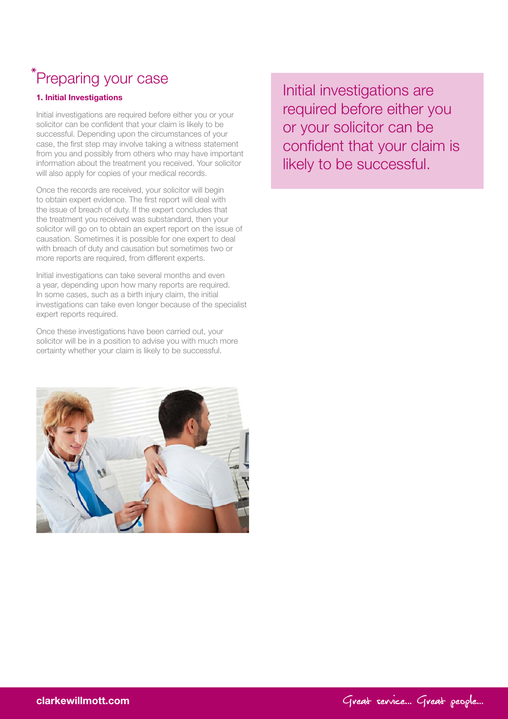# \*Preparing your case

### 1. Initial Investigations

Initial investigations are required before either you or your solicitor can be confident that your claim is likely to be successful. Depending upon the circumstances of your case, the first step may involve taking a witness statement from you and possibly from others who may have important information about the treatment you received. Your solicitor will also apply for copies of your medical records.

Once the records are received, your solicitor will begin to obtain expert evidence. The first report will deal with the issue of breach of duty. If the expert concludes that the treatment you received was substandard, then your solicitor will go on to obtain an expert report on the issue of causation. Sometimes it is possible for one expert to deal with breach of duty and causation but sometimes two or more reports are required, from different experts.

Initial investigations can take several months and even a year, depending upon how many reports are required. In some cases, such as a birth injury claim, the initial investigations can take even longer because of the specialist expert reports required.

Once these investigations have been carried out, your solicitor will be in a position to advise you with much more certainty whether your claim is likely to be successful.



required before either you or your solicitor can be confident that your claim is likely to be successful.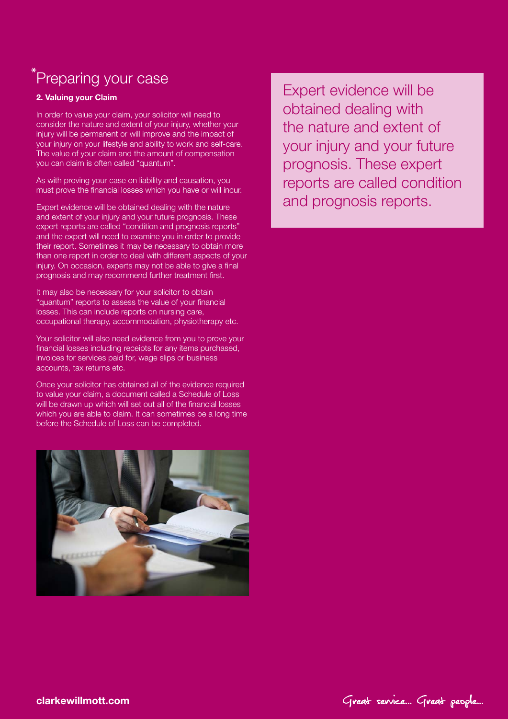# <sup>\*</sup>Preparing your case

### 2. Valuing your Claim

In order to value your claim, your solicitor will need to consider the nature and extent of your injury, whether your injury will be permanent or will improve and the impact of your injury on your lifestyle and ability to work and self-care. The value of your claim and the amount of compensation you can claim is often called "quantum".

As with proving your case on liability and causation, you must prove the financial losses which you have or will incur.

Expert evidence will be obtained dealing with the nature and extent of your injury and your future prognosis. These expert reports are called "condition and prognosis reports" and the expert will need to examine you in order to provide their report. Sometimes it may be necessary to obtain more than one report in order to deal with different aspects of your injury. On occasion, experts may not be able to give a final prognosis and may recommend further treatment first.

It may also be necessary for your solicitor to obtain "quantum" reports to assess the value of your financial losses. This can include reports on nursing care, occupational therapy, accommodation, physiotherapy etc.

Your solicitor will also need evidence from you to prove your financial losses including receipts for any items purchased, invoices for services paid for, wage slips or business accounts, tax returns etc.

Once your solicitor has obtained all of the evidence required to value your claim, a document called a Schedule of Loss will be drawn up which will set out all of the financial losses which you are able to claim. It can sometimes be a long time before the Schedule of Loss can be completed.



obtained dealing with the nature and extent of your injury and your future prognosis. These expert reports are called condition and prognosis reports.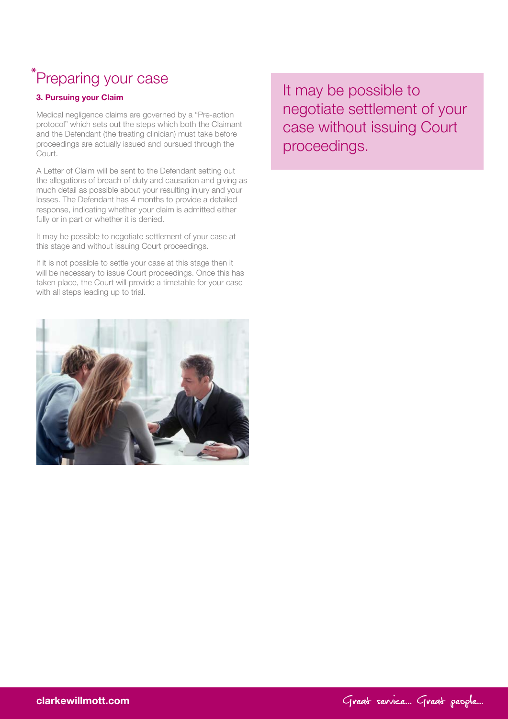# \*Preparing your case

### 3. Pursuing your Claim

Medical negligence claims are governed by a "Pre-action protocol" which sets out the steps which both the Claimant and the Defendant (the treating clinician) must take before proceedings are actually issued and pursued through the Court.

A Letter of Claim will be sent to the Defendant setting out the allegations of breach of duty and causation and giving as much detail as possible about your resulting injury and your losses. The Defendant has 4 months to provide a detailed response, indicating whether your claim is admitted either fully or in part or whether it is denied.

It may be possible to negotiate settlement of your case at this stage and without issuing Court proceedings.

If it is not possible to settle your case at this stage then it will be necessary to issue Court proceedings. Once this has taken place, the Court will provide a timetable for your case with all steps leading up to trial.



negotiate settlement of your case without issuing Court proceedings.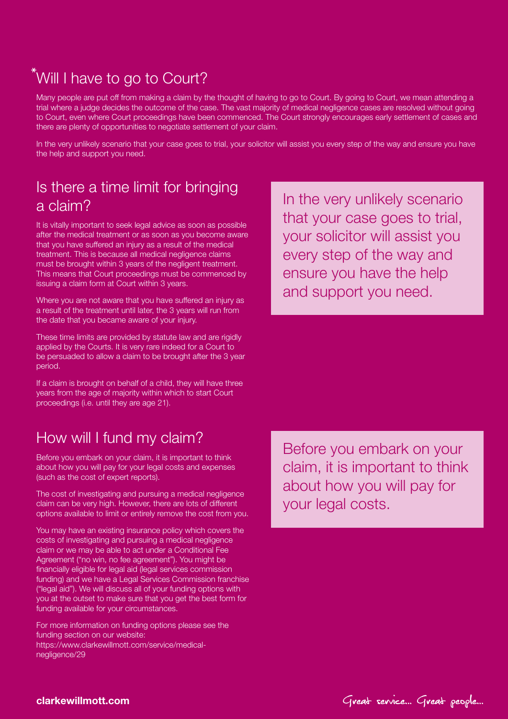# Will I have to go to Court?

Many people are put off from making a claim by the thought of having to go to Court. By going to Court, we mean attending a trial where a judge decides the outcome of the case. The vast majority of medical negligence cases are resolved without going to Court, even where Court proceedings have been commenced. The Court strongly encourages early settlement of cases and there are plenty of opportunities to negotiate settlement of your claim.

In the very unlikely scenario that your case goes to trial, your solicitor will assist you every step of the way and ensure you have the help and support you need.

### Is there a time limit for bringing a claim?

It is vitally important to seek legal advice as soon as possible after the medical treatment or as soon as you become aware that you have suffered an injury as a result of the medical treatment. This is because all medical negligence claims must be brought within 3 years of the negligent treatment. This means that Court proceedings must be commenced by issuing a claim form at Court within 3 years.

Where you are not aware that you have suffered an injury as a result of the treatment until later, the 3 years will run from the date that you became aware of your injury.

These time limits are provided by statute law and are rigidly applied by the Courts. It is very rare indeed for a Court to be persuaded to allow a claim to be brought after the 3 year period.

If a claim is brought on behalf of a child, they will have three years from the age of majority within which to start Court proceedings (i.e. until they are age 21).

## How will I fund my claim?

Before you embark on your claim, it is important to think about how you will pay for your legal costs and expenses (such as the cost of expert reports).

The cost of investigating and pursuing a medical negligence claim can be very high. However, there are lots of different options available to limit or entirely remove the cost from you.

You may have an existing insurance policy which covers the costs of investigating and pursuing a medical negligence claim or we may be able to act under a Conditional Fee Agreement ("no win, no fee agreement"). You might be financially eligible for legal aid (legal services commission funding) and we have a Legal Services Commission franchise ("legal aid"). We will discuss all of your funding options with you at the outset to make sure that you get the best form for funding available for your circumstances.

For more information on funding options please see the funding section on our website: https://www.clarkewillmott.com/service/medicalnegligence/29

In the very unlikely scenario that your case goes to trial, your solicitor will assist you every step of the way and ensure you have the help and support you need.

Before you embark on your claim, it is important to think about how you will pay for your legal costs.